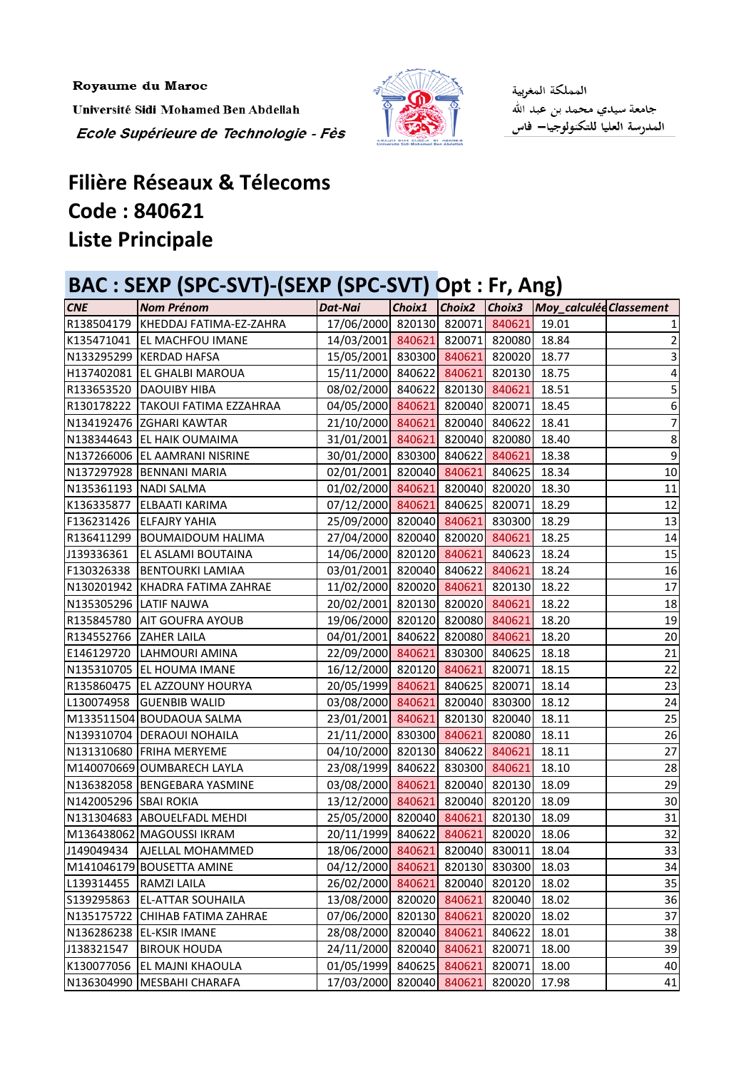Royaume du Maroc

Université Sidi Mohamed Ben Abdellah Ecole Supérieure de Technologie - Fès



المملكة المغربية جامعة سيدي محمد بن عبد الله<br>المدرسة العليا للتكنولوجيا— فاس

## **Filière Réseaux & Télecoms Liste Principale Code : 840621**

## **BAC : SEXP (SPC-SVT)-(SEXP (SPC-SVT) Opt : Fr, Ang)**

| <b>CNE</b>             | <b>Nom Prénom</b>                    | <b>Dat-Nai</b>                        |        |        |               | Choix1 Choix2 Choix3 Moy_calculée Classement |                         |
|------------------------|--------------------------------------|---------------------------------------|--------|--------|---------------|----------------------------------------------|-------------------------|
|                        | R138504179   KHEDDAJ FATIMA-EZ-ZAHRA | 17/06/2000 820130 820071 840621       |        |        |               | 19.01                                        |                         |
|                        | K135471041 EL MACHFOU IMANE          | 14/03/2001 840621 820071 820080       |        |        |               | 18.84                                        | $\overline{2}$          |
|                        | N133295299 KERDAD HAFSA              | 15/05/2001 830300 840621 820020 18.77 |        |        |               |                                              | $\overline{\mathbf{3}}$ |
|                        | H137402081 EL GHALBI MAROUA          | 15/11/2000 840622 840621 820130       |        |        |               | 18.75                                        | 4                       |
|                        | R133653520 DAOUIBY HIBA              | 08/02/2000 840622 820130 840621       |        |        |               | 18.51                                        | 5                       |
|                        | R130178222   TAKOUI FATIMA EZZAHRAA  | 04/05/2000 840621 820040 820071       |        |        |               | 18.45                                        | 6                       |
|                        | N134192476 ZGHARI KAWTAR             | 21/10/2000 840621 820040 840622       |        |        |               | 18.41                                        | $\overline{7}$          |
|                        | N138344643 EL HAIK OUMAIMA           | 31/01/2001 840621 820040 820080       |        |        |               | 18.40                                        | $\bf 8$                 |
|                        | N137266006 EL AAMRANI NISRINE        | 30/01/2000 830300 840622 840621       |        |        |               | 18.38                                        | $\overline{9}$          |
|                        | N137297928 BENNANI MARIA             | 02/01/2001 820040 840621 840625       |        |        |               | 18.34                                        | 10                      |
| N135361193 NADI SALMA  |                                      | 01/02/2000 840621 820040 820020       |        |        |               | 18.30                                        | 11                      |
|                        | K136335877 ELBAATI KARIMA            | 07/12/2000 840621 840625 820071       |        |        |               | 18.29                                        | 12                      |
|                        | F136231426 ELFAJRY YAHIA             | 25/09/2000 820040 840621 830300       |        |        |               | 18.29                                        | 13                      |
|                        | R136411299   BOUMAIDOUM HALIMA       | 27/04/2000 820040 820020 840621       |        |        |               | 18.25                                        | 14                      |
|                        | J139336361   EL ASLAMI BOUTAINA      | 14/06/2000 820120 840621 840623       |        |        |               | 18.24                                        | 15                      |
|                        | F130326338 BENTOURKI LAMIAA          | 03/01/2001 820040 840622 840621       |        |        |               | 18.24                                        | 16                      |
|                        | N130201942 KHADRA FATIMA ZAHRAE      | 11/02/2000 820020 840621 820130       |        |        |               | 18.22                                        | 17                      |
|                        | N135305296 LATIF NAJWA               | 20/02/2001 820130 820020 840621       |        |        |               | 18.22                                        | 18                      |
|                        | R135845780 AIT GOUFRA AYOUB          | 19/06/2000 820120 820080 840621       |        |        |               | 18.20                                        | 19                      |
| R134552766 ZAHER LAILA |                                      | 04/01/2001 840622 820080 840621       |        |        |               | 18.20                                        | 20                      |
|                        | E146129720 LAHMOURI AMINA            | 22/09/2000 840621 830300 840625       |        |        |               | 18.18                                        | 21                      |
|                        | N135310705 EL HOUMA IMANE            | 16/12/2000 820120 840621 820071       |        |        |               | 18.15                                        | 22                      |
|                        | R135860475   EL AZZOUNY HOURYA       | 20/05/1999 840621 840625 820071       |        |        |               | 18.14                                        | 23                      |
|                        | L130074958 GUENBIB WALID             | 03/08/2000 840621 820040 830300       |        |        |               | 18.12                                        | 24                      |
|                        | M133511504 BOUDAOUA SALMA            | 23/01/2001 840621 820130 820040       |        |        |               | 18.11                                        | 25                      |
|                        | N139310704 DERAOUI NOHAILA           | 21/11/2000 830300 840621 820080       |        |        |               | 18.11                                        | 26                      |
|                        | N131310680 FRIHA MERYEME             | 04/10/2000 820130 840622 840621       |        |        |               | 18.11                                        | 27                      |
|                        | M140070669 OUMBARECH LAYLA           | 23/08/1999 840622 830300 840621       |        |        |               | 18.10                                        | 28                      |
|                        | N136382058 BENGEBARA YASMINE         | 03/08/2000 840621 820040 820130       |        |        |               | 18.09                                        | 29                      |
| N142005296 SBAI ROKIA  |                                      | 13/12/2000 840621 820040 820120 18.09 |        |        |               |                                              | 30                      |
|                        | N131304683 ABOUELFADL MEHDI          | 25/05/2000 820040 840621 820130 18.09 |        |        |               |                                              | 31                      |
|                        | M136438062 MAGOUSSI IKRAM            | 20/11/1999 840622 840621              |        |        | 820020        | 18.06                                        | 32                      |
| J149049434             | <b>AJELLAL MOHAMMED</b>              | 18/06/2000 840621 820040 830011       |        |        |               | 18.04                                        | 33                      |
|                        | M141046179 BOUSETTA AMINE            | 04/12/2000 840621                     |        |        | 820130 830300 | 18.03                                        | 34                      |
| L139314455             | <b>RAMZI LAILA</b>                   | 26/02/2000 840621                     |        | 820040 | 820120        | 18.02                                        | 35                      |
| S139295863             | <b>EL-ATTAR SOUHAILA</b>             | 13/08/2000 820020 840621              |        |        | 820040        | 18.02                                        | 36                      |
| N135175722             | <b>CHIHAB FATIMA ZAHRAE</b>          | 07/06/2000 820130 840621              |        |        | 820020        | 18.02                                        | 37                      |
|                        | N136286238 EL-KSIR IMANE             | 28/08/2000 820040 840621              |        |        | 840622        | 18.01                                        | 38                      |
| J138321547             | <b>BIROUK HOUDA</b>                  | 24/11/2000 820040                     |        | 840621 | 820071        | 18.00                                        | 39                      |
| K130077056             | EL MAJNI KHAOULA                     | 01/05/1999                            | 840625 | 840621 | 820071        | 18.00                                        | 40                      |
|                        | N136304990   MESBAHI CHARAFA         | 17/03/2000 820040 840621              |        |        | 820020        | 17.98                                        | 41                      |